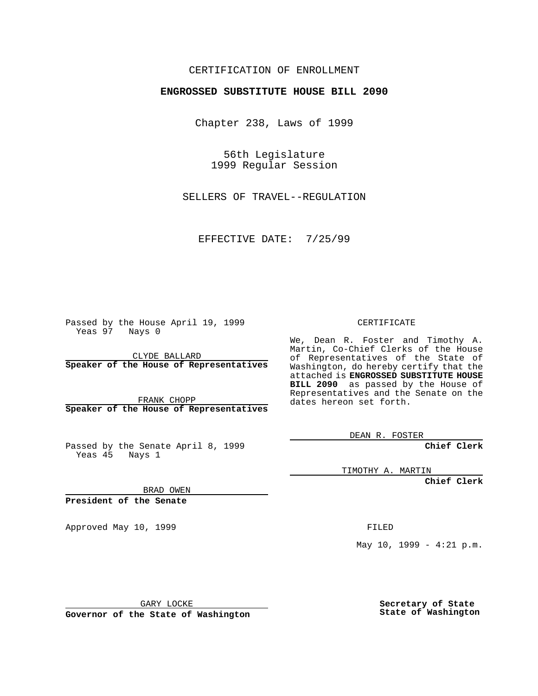#### CERTIFICATION OF ENROLLMENT

# **ENGROSSED SUBSTITUTE HOUSE BILL 2090**

Chapter 238, Laws of 1999

56th Legislature 1999 Regular Session

SELLERS OF TRAVEL--REGULATION

EFFECTIVE DATE: 7/25/99

Passed by the House April 19, 1999 Yeas 97 Nays 0

CLYDE BALLARD **Speaker of the House of Representatives**

FRANK CHOPP **Speaker of the House of Representatives**

Passed by the Senate April 8, 1999 Yeas 45 Nays 1

CERTIFICATE

We, Dean R. Foster and Timothy A. Martin, Co-Chief Clerks of the House of Representatives of the State of Washington, do hereby certify that the attached is **ENGROSSED SUBSTITUTE HOUSE BILL 2090** as passed by the House of Representatives and the Senate on the dates hereon set forth.

DEAN R. FOSTER

**Chief Clerk**

TIMOTHY A. MARTIN

**Chief Clerk**

BRAD OWEN

**President of the Senate**

Approved May 10, 1999 **FILED** 

May  $10$ ,  $1999 - 4:21$  p.m.

GARY LOCKE

**Governor of the State of Washington**

**Secretary of State State of Washington**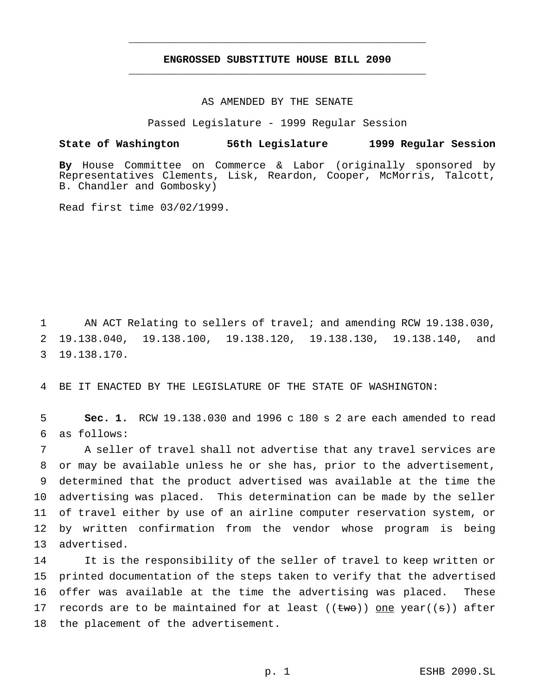## **ENGROSSED SUBSTITUTE HOUSE BILL 2090** \_\_\_\_\_\_\_\_\_\_\_\_\_\_\_\_\_\_\_\_\_\_\_\_\_\_\_\_\_\_\_\_\_\_\_\_\_\_\_\_\_\_\_\_\_\_\_

\_\_\_\_\_\_\_\_\_\_\_\_\_\_\_\_\_\_\_\_\_\_\_\_\_\_\_\_\_\_\_\_\_\_\_\_\_\_\_\_\_\_\_\_\_\_\_

#### AS AMENDED BY THE SENATE

Passed Legislature - 1999 Regular Session

## **State of Washington 56th Legislature 1999 Regular Session**

**By** House Committee on Commerce & Labor (originally sponsored by Representatives Clements, Lisk, Reardon, Cooper, McMorris, Talcott, B. Chandler and Gombosky)

Read first time 03/02/1999.

1 AN ACT Relating to sellers of travel; and amending RCW 19.138.030, 2 19.138.040, 19.138.100, 19.138.120, 19.138.130, 19.138.140, and 3 19.138.170.

4 BE IT ENACTED BY THE LEGISLATURE OF THE STATE OF WASHINGTON:

5 **Sec. 1.** RCW 19.138.030 and 1996 c 180 s 2 are each amended to read 6 as follows:

 A seller of travel shall not advertise that any travel services are or may be available unless he or she has, prior to the advertisement, determined that the product advertised was available at the time the advertising was placed. This determination can be made by the seller of travel either by use of an airline computer reservation system, or by written confirmation from the vendor whose program is being advertised.

 It is the responsibility of the seller of travel to keep written or printed documentation of the steps taken to verify that the advertised offer was available at the time the advertising was placed. These 17 records are to be maintained for at least ( $(\text{two})$ ) one year( $(\text{s})$ ) after the placement of the advertisement.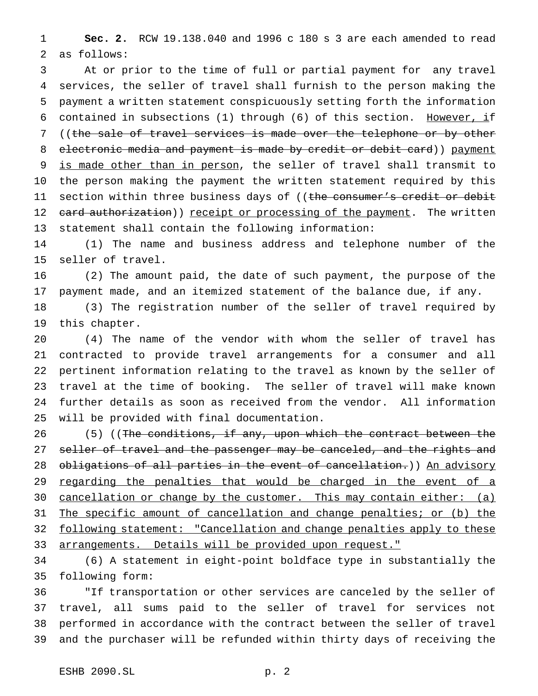**Sec. 2.** RCW 19.138.040 and 1996 c 180 s 3 are each amended to read as follows:

 At or prior to the time of full or partial payment for any travel services, the seller of travel shall furnish to the person making the payment a written statement conspicuously setting forth the information 6 contained in subsections (1) through (6) of this section. However, if ((the sale of travel services is made over the telephone or by other 8 electronic media and payment is made by credit or debit card)) payment 9 is made other than in person, the seller of travel shall transmit to the person making the payment the written statement required by this 11 section within three business days of ((the consumer's credit or debit 12 card authorization)) receipt or processing of the payment. The written statement shall contain the following information:

 (1) The name and business address and telephone number of the seller of travel.

 (2) The amount paid, the date of such payment, the purpose of the payment made, and an itemized statement of the balance due, if any.

 (3) The registration number of the seller of travel required by this chapter.

 (4) The name of the vendor with whom the seller of travel has contracted to provide travel arrangements for a consumer and all pertinent information relating to the travel as known by the seller of travel at the time of booking. The seller of travel will make known further details as soon as received from the vendor. All information will be provided with final documentation.

26 (5) ((The conditions, if any, upon which the contract between the 27 seller of travel and the passenger may be canceled, and the rights and 28 obligations of all parties in the event of cancellation.)) An advisory 29 regarding the penalties that would be charged in the event of a cancellation or change by the customer. This may contain either: (a) The specific amount of cancellation and change penalties; or (b) the following statement: "Cancellation and change penalties apply to these 33 arrangements. Details will be provided upon request."

 (6) A statement in eight-point boldface type in substantially the following form:

 "If transportation or other services are canceled by the seller of travel, all sums paid to the seller of travel for services not performed in accordance with the contract between the seller of travel and the purchaser will be refunded within thirty days of receiving the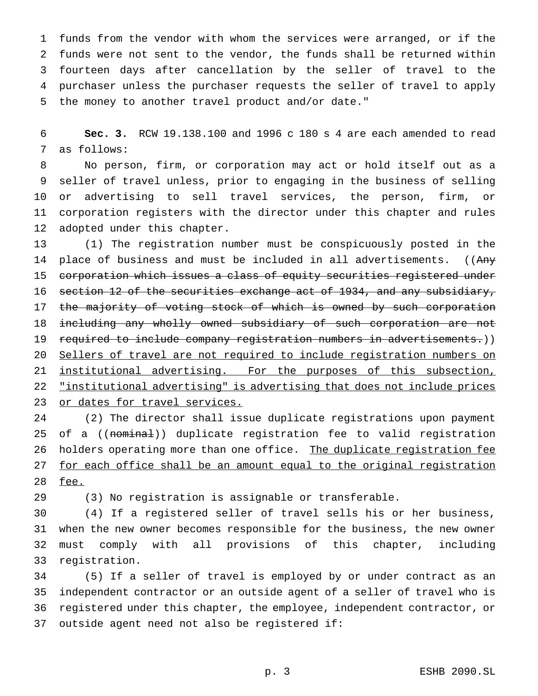funds from the vendor with whom the services were arranged, or if the funds were not sent to the vendor, the funds shall be returned within fourteen days after cancellation by the seller of travel to the purchaser unless the purchaser requests the seller of travel to apply the money to another travel product and/or date."

 **Sec. 3.** RCW 19.138.100 and 1996 c 180 s 4 are each amended to read as follows:

 No person, firm, or corporation may act or hold itself out as a seller of travel unless, prior to engaging in the business of selling or advertising to sell travel services, the person, firm, or corporation registers with the director under this chapter and rules adopted under this chapter.

 (1) The registration number must be conspicuously posted in the 14 place of business and must be included in all advertisements. ((Any corporation which issues a class of equity securities registered under 16 section 12 of the securities exchange act of 1934, and any subsidiary, 17 the majority of voting stock of which is owned by such corporation including any wholly owned subsidiary of such corporation are not required to include company registration numbers in advertisements.)) Sellers of travel are not required to include registration numbers on 21 institutional advertising. For the purposes of this subsection, "institutional advertising" is advertising that does not include prices or dates for travel services.

 (2) The director shall issue duplicate registrations upon payment 25 of a ((nominal)) duplicate registration fee to valid registration 26 holders operating more than one office. The duplicate registration fee 27 for each office shall be an amount equal to the original registration fee.

(3) No registration is assignable or transferable.

 (4) If a registered seller of travel sells his or her business, when the new owner becomes responsible for the business, the new owner must comply with all provisions of this chapter, including registration.

 (5) If a seller of travel is employed by or under contract as an independent contractor or an outside agent of a seller of travel who is registered under this chapter, the employee, independent contractor, or outside agent need not also be registered if: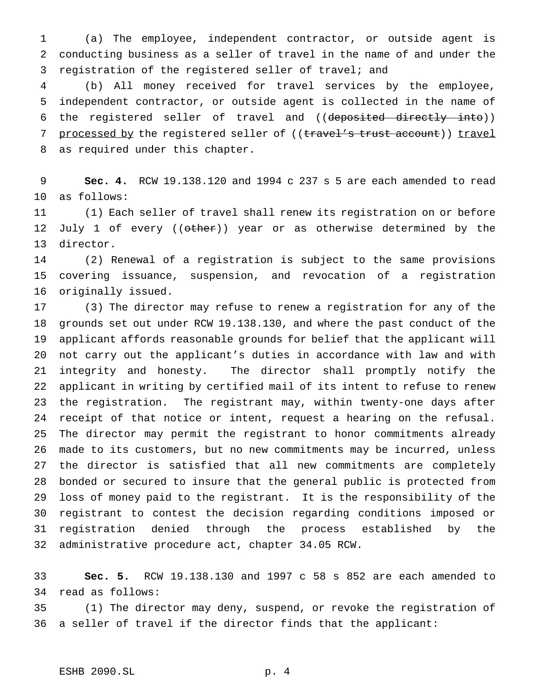(a) The employee, independent contractor, or outside agent is conducting business as a seller of travel in the name of and under the registration of the registered seller of travel; and

 (b) All money received for travel services by the employee, independent contractor, or outside agent is collected in the name of the registered seller of travel and ((deposited directly into)) 7 processed by the registered seller of ((travel's trust account)) travel as required under this chapter.

 **Sec. 4.** RCW 19.138.120 and 1994 c 237 s 5 are each amended to read as follows:

 (1) Each seller of travel shall renew its registration on or before 12 July 1 of every ((other)) year or as otherwise determined by the director.

 (2) Renewal of a registration is subject to the same provisions covering issuance, suspension, and revocation of a registration originally issued.

 (3) The director may refuse to renew a registration for any of the grounds set out under RCW 19.138.130, and where the past conduct of the applicant affords reasonable grounds for belief that the applicant will not carry out the applicant's duties in accordance with law and with integrity and honesty. The director shall promptly notify the applicant in writing by certified mail of its intent to refuse to renew the registration. The registrant may, within twenty-one days after receipt of that notice or intent, request a hearing on the refusal. The director may permit the registrant to honor commitments already made to its customers, but no new commitments may be incurred, unless the director is satisfied that all new commitments are completely bonded or secured to insure that the general public is protected from loss of money paid to the registrant. It is the responsibility of the registrant to contest the decision regarding conditions imposed or registration denied through the process established by the administrative procedure act, chapter 34.05 RCW.

 **Sec. 5.** RCW 19.138.130 and 1997 c 58 s 852 are each amended to read as follows:

 (1) The director may deny, suspend, or revoke the registration of a seller of travel if the director finds that the applicant: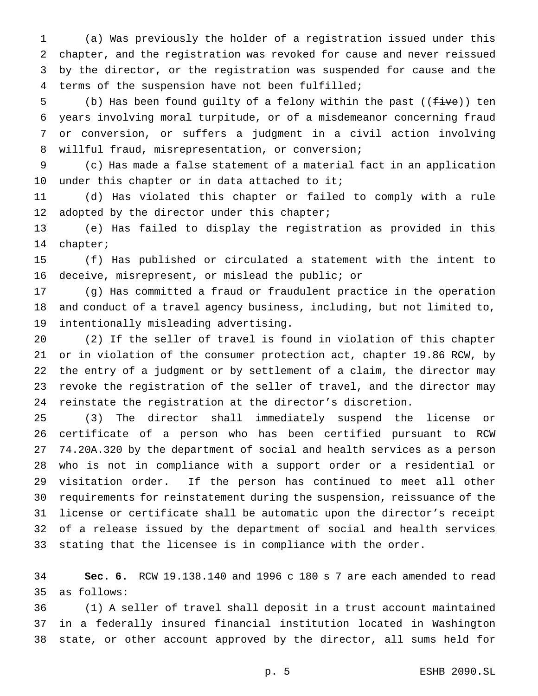(a) Was previously the holder of a registration issued under this chapter, and the registration was revoked for cause and never reissued by the director, or the registration was suspended for cause and the terms of the suspension have not been fulfilled;

5 (b) Has been found guilty of a felony within the past ((five)) ten years involving moral turpitude, or of a misdemeanor concerning fraud or conversion, or suffers a judgment in a civil action involving willful fraud, misrepresentation, or conversion;

 (c) Has made a false statement of a material fact in an application 10 under this chapter or in data attached to it;

 (d) Has violated this chapter or failed to comply with a rule 12 adopted by the director under this chapter;

 (e) Has failed to display the registration as provided in this chapter;

 (f) Has published or circulated a statement with the intent to deceive, misrepresent, or mislead the public; or

 (g) Has committed a fraud or fraudulent practice in the operation and conduct of a travel agency business, including, but not limited to, intentionally misleading advertising.

 (2) If the seller of travel is found in violation of this chapter or in violation of the consumer protection act, chapter 19.86 RCW, by the entry of a judgment or by settlement of a claim, the director may revoke the registration of the seller of travel, and the director may reinstate the registration at the director's discretion.

 (3) The director shall immediately suspend the license or certificate of a person who has been certified pursuant to RCW 74.20A.320 by the department of social and health services as a person who is not in compliance with a support order or a residential or visitation order. If the person has continued to meet all other requirements for reinstatement during the suspension, reissuance of the license or certificate shall be automatic upon the director's receipt of a release issued by the department of social and health services stating that the licensee is in compliance with the order.

 **Sec. 6.** RCW 19.138.140 and 1996 c 180 s 7 are each amended to read as follows:

 (1) A seller of travel shall deposit in a trust account maintained in a federally insured financial institution located in Washington state, or other account approved by the director, all sums held for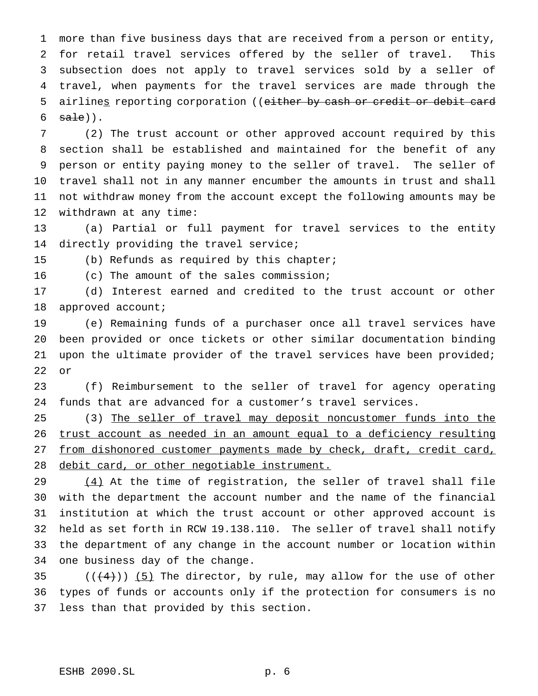more than five business days that are received from a person or entity, for retail travel services offered by the seller of travel. This subsection does not apply to travel services sold by a seller of travel, when payments for the travel services are made through the 5 airlines reporting corporation ((either by cash or credit or debit card  $sat$ )).

 (2) The trust account or other approved account required by this section shall be established and maintained for the benefit of any person or entity paying money to the seller of travel. The seller of travel shall not in any manner encumber the amounts in trust and shall not withdraw money from the account except the following amounts may be withdrawn at any time:

 (a) Partial or full payment for travel services to the entity directly providing the travel service;

(b) Refunds as required by this chapter;

(c) The amount of the sales commission;

 (d) Interest earned and credited to the trust account or other 18 approved account;

 (e) Remaining funds of a purchaser once all travel services have been provided or once tickets or other similar documentation binding upon the ultimate provider of the travel services have been provided; or

 (f) Reimbursement to the seller of travel for agency operating funds that are advanced for a customer's travel services.

 (3) The seller of travel may deposit noncustomer funds into the trust account as needed in an amount equal to a deficiency resulting 27 from dishonored customer payments made by check, draft, credit card, debit card, or other negotiable instrument.

 $(4)$  At the time of registration, the seller of travel shall file with the department the account number and the name of the financial institution at which the trust account or other approved account is held as set forth in RCW 19.138.110. The seller of travel shall notify the department of any change in the account number or location within one business day of the change.

35  $((4+))$  (5) The director, by rule, may allow for the use of other types of funds or accounts only if the protection for consumers is no less than that provided by this section.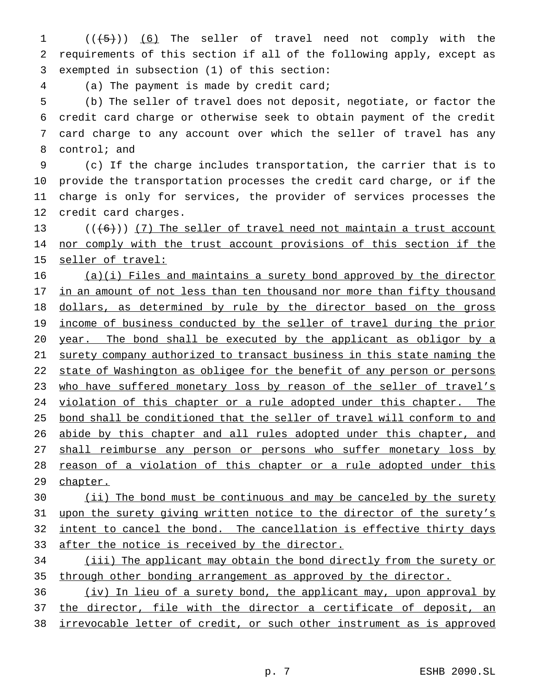1 (((5)) (6) The seller of travel need not comply with the 2 requirements of this section if all of the following apply, except as 3 exempted in subsection (1) of this section:

4 (a) The payment is made by credit card;

 (b) The seller of travel does not deposit, negotiate, or factor the credit card charge or otherwise seek to obtain payment of the credit card charge to any account over which the seller of travel has any control; and

 (c) If the charge includes transportation, the carrier that is to provide the transportation processes the credit card charge, or if the charge is only for services, the provider of services processes the credit card charges.

13  $((\{6\})$   $(7)$  The seller of travel need not maintain a trust account 14 nor comply with the trust account provisions of this section if the 15 seller of travel:

16 (a)(i) Files and maintains a surety bond approved by the director 17 in an amount of not less than ten thousand nor more than fifty thousand 18 dollars, as determined by rule by the director based on the gross 19 income of business conducted by the seller of travel during the prior 20 year. The bond shall be executed by the applicant as obligor by a 21 surety company authorized to transact business in this state naming the 22 state of Washington as obligee for the benefit of any person or persons 23 who have suffered monetary loss by reason of the seller of travel's 24 violation of this chapter or a rule adopted under this chapter. The 25 bond shall be conditioned that the seller of travel will conform to and 26 abide by this chapter and all rules adopted under this chapter, and 27 shall reimburse any person or persons who suffer monetary loss by 28 reason of a violation of this chapter or a rule adopted under this 29 chapter.

30 (ii) The bond must be continuous and may be canceled by the surety 31 upon the surety giving written notice to the director of the surety's 32 intent to cancel the bond. The cancellation is effective thirty days 33 after the notice is received by the director.

34 (iii) The applicant may obtain the bond directly from the surety or 35 through other bonding arrangement as approved by the director.

36 (iv) In lieu of a surety bond, the applicant may, upon approval by 37 the director, file with the director a certificate of deposit, an 38 irrevocable letter of credit, or such other instrument as is approved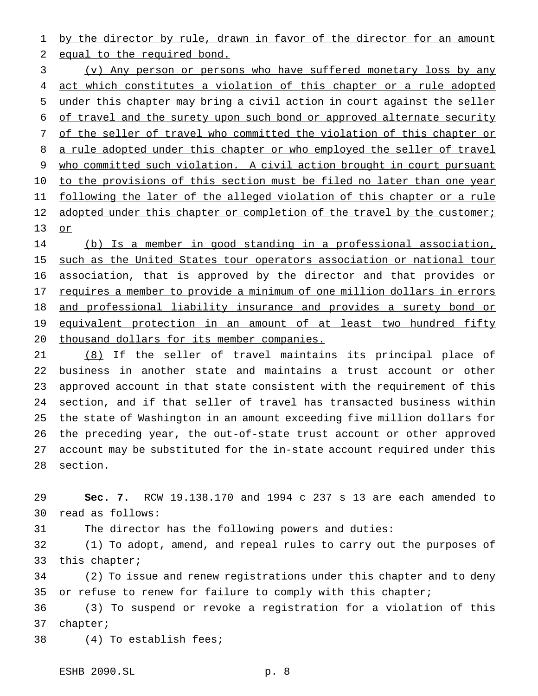1 by the director by rule, drawn in favor of the director for an amount equal to the required bond.

 (v) Any person or persons who have suffered monetary loss by any 4 act which constitutes a violation of this chapter or a rule adopted under this chapter may bring a civil action in court against the seller of travel and the surety upon such bond or approved alternate security 7 of the seller of travel who committed the violation of this chapter or 8 a rule adopted under this chapter or who employed the seller of travel who committed such violation. A civil action brought in court pursuant to the provisions of this section must be filed no later than one year following the later of the alleged violation of this chapter or a rule 12 adopted under this chapter or completion of the travel by the customer; or

 (b) Is a member in good standing in a professional association, 15 such as the United States tour operators association or national tour 16 association, that is approved by the director and that provides or requires a member to provide a minimum of one million dollars in errors and professional liability insurance and provides a surety bond or 19 equivalent protection in an amount of at least two hundred fifty thousand dollars for its member companies.

 (8) If the seller of travel maintains its principal place of business in another state and maintains a trust account or other approved account in that state consistent with the requirement of this section, and if that seller of travel has transacted business within the state of Washington in an amount exceeding five million dollars for the preceding year, the out-of-state trust account or other approved account may be substituted for the in-state account required under this section.

 **Sec. 7.** RCW 19.138.170 and 1994 c 237 s 13 are each amended to read as follows:

The director has the following powers and duties:

 (1) To adopt, amend, and repeal rules to carry out the purposes of this chapter;

 (2) To issue and renew registrations under this chapter and to deny 35 or refuse to renew for failure to comply with this chapter;

 (3) To suspend or revoke a registration for a violation of this chapter;

(4) To establish fees;